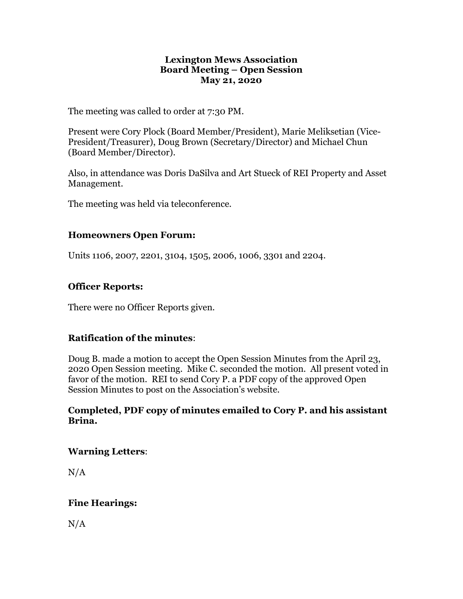#### **Lexington Mews Association Board Meeting – Open Session May 21, 2020**

The meeting was called to order at 7:30 PM.

Present were Cory Plock (Board Member/President), Marie Meliksetian (Vice-President/Treasurer), Doug Brown (Secretary/Director) and Michael Chun (Board Member/Director).

Also, in attendance was Doris DaSilva and Art Stueck of REI Property and Asset Management.

The meeting was held via teleconference.

### **Homeowners Open Forum:**

Units 1106, 2007, 2201, 3104, 1505, 2006, 1006, 3301 and 2204.

### **Officer Reports:**

There were no Officer Reports given.

### **Ratification of the minutes**:

Doug B. made a motion to accept the Open Session Minutes from the April 23, 2020 Open Session meeting. Mike C. seconded the motion. All present voted in favor of the motion. REI to send Cory P. a PDF copy of the approved Open Session Minutes to post on the Association's website.

#### **Completed, PDF copy of minutes emailed to Cory P. and his assistant Brina.**

### **Warning Letters**:

 $N/A$ 

## **Fine Hearings:**

 $N/A$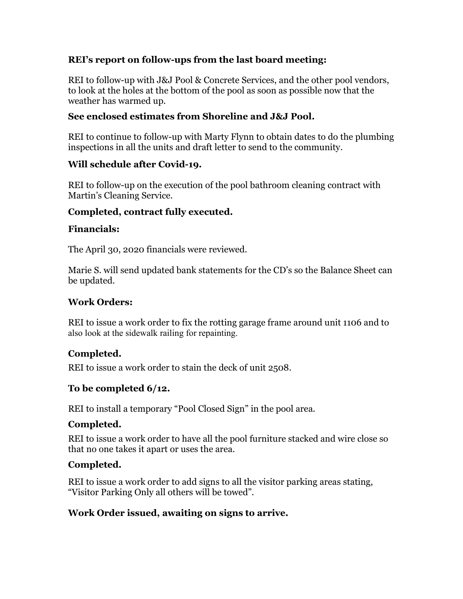## **REI's report on follow-ups from the last board meeting:**

REI to follow-up with J&J Pool & Concrete Services, and the other pool vendors, to look at the holes at the bottom of the pool as soon as possible now that the weather has warmed up.

## **See enclosed estimates from Shoreline and J&J Pool.**

REI to continue to follow-up with Marty Flynn to obtain dates to do the plumbing inspections in all the units and draft letter to send to the community.

### **Will schedule after Covid-19.**

REI to follow-up on the execution of the pool bathroom cleaning contract with Martin's Cleaning Service.

## **Completed, contract fully executed.**

### **Financials:**

The April 30, 2020 financials were reviewed.

Marie S. will send updated bank statements for the CD's so the Balance Sheet can be updated.

### **Work Orders:**

REI to issue a work order to fix the rotting garage frame around unit 1106 and to also look at the sidewalk railing for repainting.

## **Completed.**

REI to issue a work order to stain the deck of unit 2508.

## **To be completed 6/12.**

REI to install a temporary "Pool Closed Sign" in the pool area.

## **Completed.**

REI to issue a work order to have all the pool furniture stacked and wire close so that no one takes it apart or uses the area.

## **Completed.**

REI to issue a work order to add signs to all the visitor parking areas stating, "Visitor Parking Only all others will be towed".

## **Work Order issued, awaiting on signs to arrive.**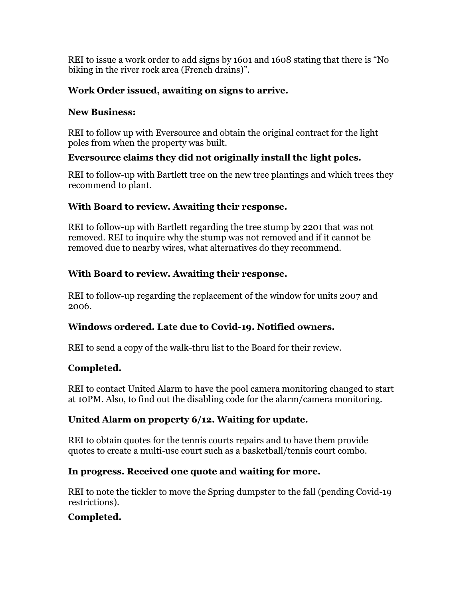REI to issue a work order to add signs by 1601 and 1608 stating that there is "No biking in the river rock area (French drains)".

# **Work Order issued, awaiting on signs to arrive.**

## **New Business:**

REI to follow up with Eversource and obtain the original contract for the light poles from when the property was built.

# **Eversource claims they did not originally install the light poles.**

REI to follow-up with Bartlett tree on the new tree plantings and which trees they recommend to plant.

# **With Board to review. Awaiting their response.**

REI to follow-up with Bartlett regarding the tree stump by 2201 that was not removed. REI to inquire why the stump was not removed and if it cannot be removed due to nearby wires, what alternatives do they recommend.

# **With Board to review. Awaiting their response.**

REI to follow-up regarding the replacement of the window for units 2007 and 2006.

# **Windows ordered. Late due to Covid-19. Notified owners.**

REI to send a copy of the walk-thru list to the Board for their review.

# **Completed.**

REI to contact United Alarm to have the pool camera monitoring changed to start at 10PM. Also, to find out the disabling code for the alarm/camera monitoring.

# **United Alarm on property 6/12. Waiting for update.**

REI to obtain quotes for the tennis courts repairs and to have them provide quotes to create a multi-use court such as a basketball/tennis court combo.

# **In progress. Received one quote and waiting for more.**

REI to note the tickler to move the Spring dumpster to the fall (pending Covid-19 restrictions).

# **Completed.**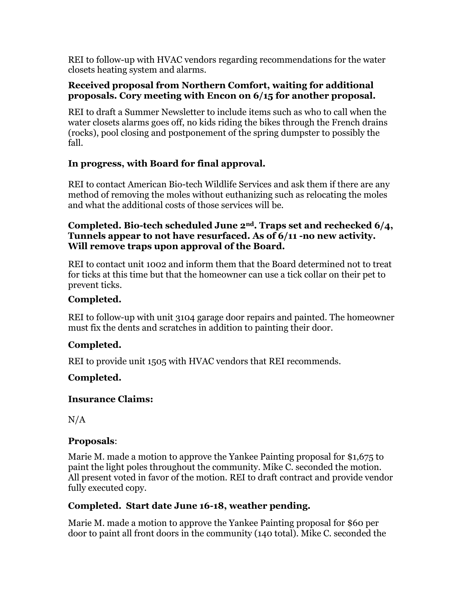REI to follow-up with HVAC vendors regarding recommendations for the water closets heating system and alarms.

### **Received proposal from Northern Comfort, waiting for additional proposals. Cory meeting with Encon on 6/15 for another proposal.**

REI to draft a Summer Newsletter to include items such as who to call when the water closets alarms goes off, no kids riding the bikes through the French drains (rocks), pool closing and postponement of the spring dumpster to possibly the fall.

# **In progress, with Board for final approval.**

REI to contact American Bio-tech Wildlife Services and ask them if there are any method of removing the moles without euthanizing such as relocating the moles and what the additional costs of those services will be.

### **Completed. Bio-tech scheduled June 2nd. Traps set and rechecked 6/4, Tunnels appear to not have resurfaced. As of 6/11 -no new activity. Will remove traps upon approval of the Board.**

REI to contact unit 1002 and inform them that the Board determined not to treat for ticks at this time but that the homeowner can use a tick collar on their pet to prevent ticks.

# **Completed.**

REI to follow-up with unit 3104 garage door repairs and painted. The homeowner must fix the dents and scratches in addition to painting their door.

# **Completed.**

REI to provide unit 1505 with HVAC vendors that REI recommends.

# **Completed.**

## **Insurance Claims:**

 $N/A$ 

## **Proposals**:

Marie M. made a motion to approve the Yankee Painting proposal for \$1,675 to paint the light poles throughout the community. Mike C. seconded the motion. All present voted in favor of the motion. REI to draft contract and provide vendor fully executed copy.

# **Completed. Start date June 16-18, weather pending.**

Marie M. made a motion to approve the Yankee Painting proposal for \$60 per door to paint all front doors in the community (140 total). Mike C. seconded the